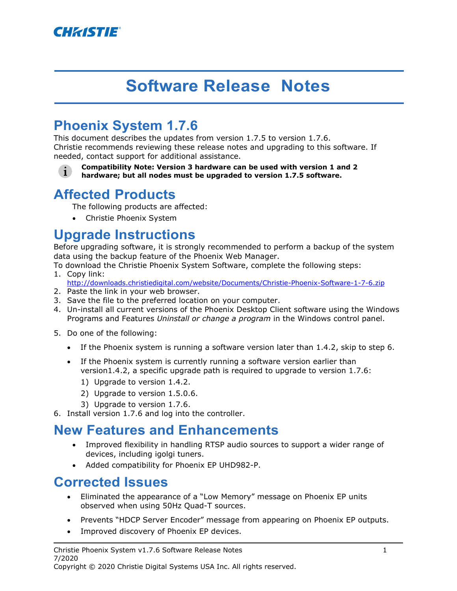

# **Software Release Notes**

# **Phoenix System 1.7.6**

This document describes the updates from version 1.7.5 to version 1.7.6. Christie recommends reviewing these release notes and upgrading to this software. If needed, contact support for additional assistance.

**Compatibility Note: Version 3 hardware can be used with version 1 and 2**   $\mathbf{i}$ **hardware; but all nodes must be upgraded to version 1.7.5 software.**

## **Affected Products**

The following products are affected:

• Christie Phoenix System

## **Upgrade Instructions**

Before upgrading software, it is strongly recommended to perform a backup of the system data using the backup feature of the Phoenix Web Manager.

To download the Christie Phoenix System Software, complete the following steps:

- 1. Copy link: http://downloads.christiedigital.com/website/Documents/Christie-Phoenix-Software-1-7-6.zip
- 2. Paste the link in your web browser.
- 3. Save the file to the preferred location on your computer.
- 4. Un-install all current versions of the Phoenix Desktop Client software using the Windows Programs and Features *Uninstall or change a program* in the Windows control panel.
- 5. Do one of the following:
	- If the Phoenix system is running a software version later than 1.4.2, skip to step [6.](#page-0-0)
	- If the Phoenix system is currently running a software version earlier than version1.4.2, a specific upgrade path is required to upgrade to version 1.7.6:
		- 1) Upgrade to version 1.4.2.
		- 2) Upgrade to version 1.5.0.6.
		- 3) Upgrade to version 1.7.6.
- <span id="page-0-0"></span>6. Install version 1.7.6 and log into the controller.

#### **New Features and Enhancements**

- Improved flexibility in handling RTSP audio sources to support a wider range of devices, including igolgi tuners.
- Added compatibility for Phoenix EP UHD982-P.

#### **Corrected Issues**

- Eliminated the appearance of a "Low Memory" message on Phoenix EP units observed when using 50Hz Quad-T sources.
- Prevents "HDCP Server Encoder" message from appearing on Phoenix EP outputs.
- Improved discovery of Phoenix EP devices.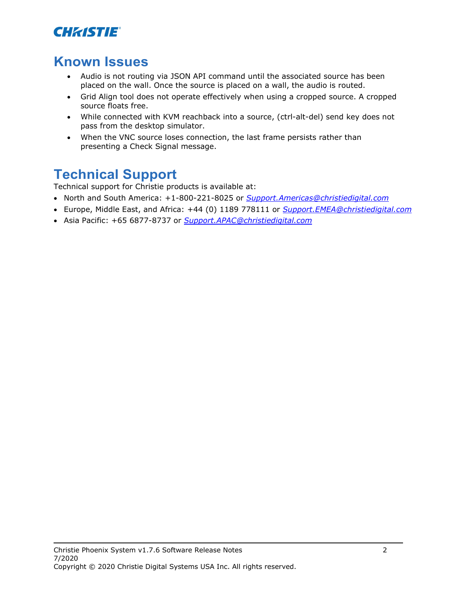

# **Known Issues**

- Audio is not routing via JSON API command until the associated source has been placed on the wall. Once the source is placed on a wall, the audio is routed.
- Grid Align tool does not operate effectively when using a cropped source. A cropped source floats free.
- While connected with KVM reachback into a source, (ctrl-alt-del) send key does not pass from the desktop simulator.
- When the VNC source loses connection, the last frame persists rather than presenting a Check Signal message.

# **Technical Support**

Technical support for Christie products is available at:

- North and South America: +1-800-221-8025 or *[Support.Americas@christiedigital.com](mailto:Support.Americas@christiedigital.com)*
- Europe, Middle East, and Africa: +44 (0) 1189 778111 or *[Support.EMEA@christiedigital.com](mailto:Support.EMEA@christiedigital.com)*
- Asia Pacific: +65 6877-8737 or *[Support.APAC@christiedigital.com](mailto:Support.APAC@christiedigital.com)*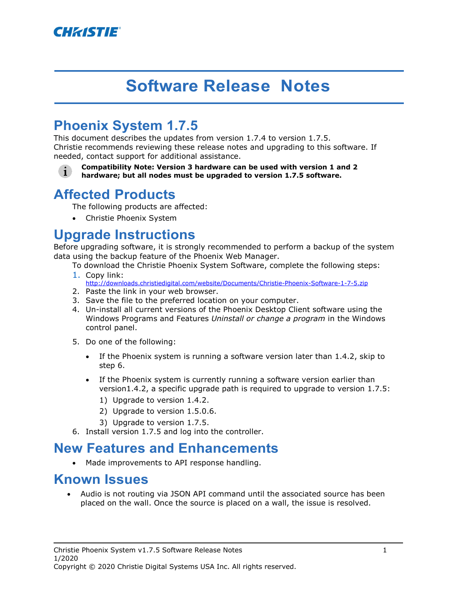

# **Software Release Notes**

# **Phoenix System 1.7.5**

This document describes the updates from version 1.7.4 to version 1.7.5. Christie recommends reviewing these release notes and upgrading to this software. If needed, contact support for additional assistance.

**Compatibility Note: Version 3 hardware can be used with version 1 and 2**   $\mathbf{i}$ **hardware; but all nodes must be upgraded to version 1.7.5 software.**

## **Affected Products**

The following products are affected:

• Christie Phoenix System

## **Upgrade Instructions**

Before upgrading software, it is strongly recommended to perform a backup of the system data using the backup feature of the Phoenix Web Manager.

To download the Christie Phoenix System Software, complete the following steps:

- 1. Copy link: http://downloads.christiedigital.com/website/Documents/Christie-Phoenix-Software-1-7-5.zip
- 2. Paste the link in your web browser.
- 3. Save the file to the preferred location on your computer.
- 4. Un-install all current versions of the Phoenix Desktop Client software using the Windows Programs and Features *Uninstall or change a program* in the Windows control panel.
- 5. Do one of the following:
	- If the Phoenix system is running a software version later than 1.4.2, skip to step [6.](#page-2-0)
	- If the Phoenix system is currently running a software version earlier than version1.4.2, a specific upgrade path is required to upgrade to version 1.7.5:
		- 1) Upgrade to version 1.4.2.
		- 2) Upgrade to version 1.5.0.6.
		- 3) Upgrade to version 1.7.5.
- 6. Install version 1.7.5 and log into the controller.

#### <span id="page-2-0"></span>**New Features and Enhancements**

• Made improvements to API response handling.

#### **Known Issues**

• Audio is not routing via JSON API command until the associated source has been placed on the wall. Once the source is placed on a wall, the issue is resolved.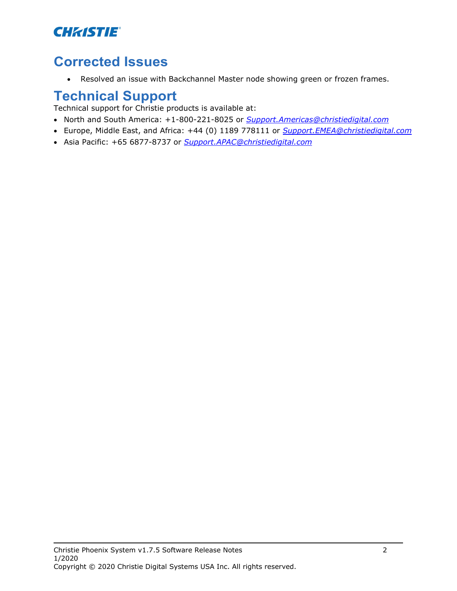## **CHRISTIE®**

## **Corrected Issues**

• Resolved an issue with Backchannel Master node showing green or frozen frames.

## **Technical Support**

Technical support for Christie products is available at:

- North and South America: +1-800-221-8025 or *[Support.Americas@christiedigital.com](mailto:Support.Americas@christiedigital.com)*
- Europe, Middle East, and Africa: +44 (0) 1189 778111 or *[Support.EMEA@christiedigital.com](mailto:Support.EMEA@christiedigital.com)*
- Asia Pacific: +65 6877-8737 or *[Support.APAC@christiedigital.com](mailto:Support.APAC@christiedigital.com)*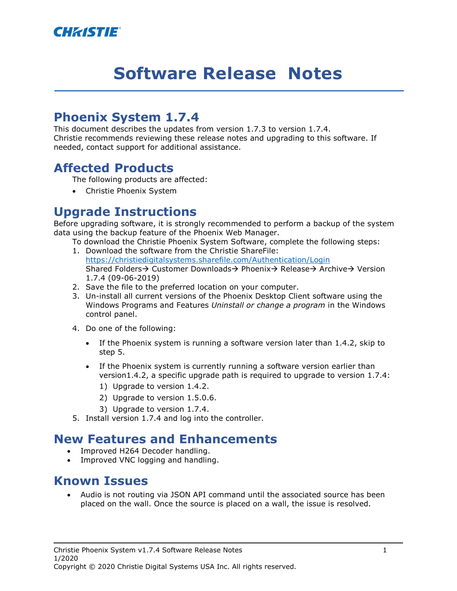

# **Software Release Notes**

#### **Phoenix System 1.7.4**

This document describes the updates from version 1.7.3 to version 1.7.4. Christie recommends reviewing these release notes and upgrading to this software. If needed, contact support for additional assistance.

#### **Affected Products**

The following products are affected:

• Christie Phoenix System

#### **Upgrade Instructions**

Before upgrading software, it is strongly recommended to perform a backup of the system data using the backup feature of the Phoenix Web Manager.

To download the Christie Phoenix System Software, complete the following steps:

- 1. Download the software from the Christie ShareFile: <https://christiedigitalsystems.sharefile.com/Authentication/Login> Shared Folders → Customer Downloads → Phoenix → Release → Archive → Version 1.7.4 (09-06-2019)
- 2. Save the file to the preferred location on your computer.
- 3. Un-install all current versions of the Phoenix Desktop Client software using the Windows Programs and Features *Uninstall or change a program* in the Windows control panel.
- 4. Do one of the following:
	- If the Phoenix system is running a software version later than 1.4.2, skip to step [5.](#page-4-0)
	- If the Phoenix system is currently running a software version earlier than version1.4.2, a specific upgrade path is required to upgrade to version 1.7.4:
		- 1) Upgrade to version 1.4.2.
		- 2) Upgrade to version 1.5.0.6.
		- 3) Upgrade to version 1.7.4.
- <span id="page-4-0"></span>5. Install version 1.7.4 and log into the controller.

#### **New Features and Enhancements**

- Improved H264 Decoder handling.
- Improved VNC logging and handling.

#### **Known Issues**

• Audio is not routing via JSON API command until the associated source has been placed on the wall. Once the source is placed on a wall, the issue is resolved.